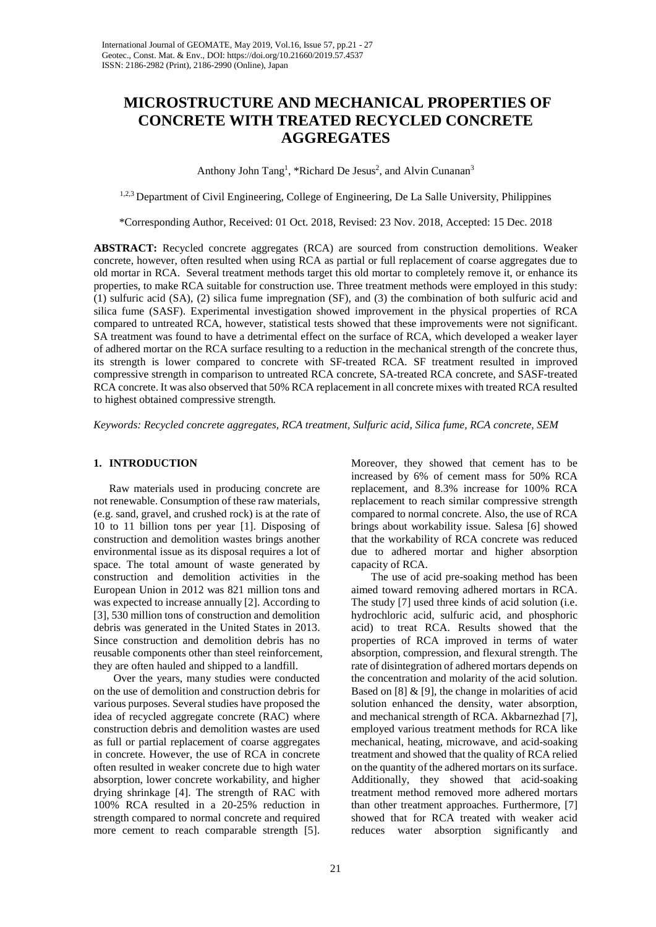# **MICROSTRUCTURE AND MECHANICAL PROPERTIES OF CONCRETE WITH TREATED RECYCLED CONCRETE AGGREGATES**

Anthony John Tang<sup>1</sup>, \*Richard De Jesus<sup>2</sup>, and Alvin Cunanan<sup>3</sup>

1,2,3 Department of Civil Engineering, College of Engineering, De La Salle University, Philippines

\*Corresponding Author, Received: 01 Oct. 2018, Revised: 23 Nov. 2018, Accepted: 15 Dec. 2018

**ABSTRACT:** Recycled concrete aggregates (RCA) are sourced from construction demolitions. Weaker concrete, however, often resulted when using RCA as partial or full replacement of coarse aggregates due to old mortar in RCA. Several treatment methods target this old mortar to completely remove it, or enhance its properties, to make RCA suitable for construction use. Three treatment methods were employed in this study: (1) sulfuric acid (SA), (2) silica fume impregnation (SF), and (3) the combination of both sulfuric acid and silica fume (SASF). Experimental investigation showed improvement in the physical properties of RCA compared to untreated RCA, however, statistical tests showed that these improvements were not significant. SA treatment was found to have a detrimental effect on the surface of RCA, which developed a weaker layer of adhered mortar on the RCA surface resulting to a reduction in the mechanical strength of the concrete thus, its strength is lower compared to concrete with SF-treated RCA*.* SF treatment resulted in improved compressive strength in comparison to untreated RCA concrete, SA-treated RCA concrete, and SASF-treated RCA concrete. It was also observed that 50% RCA replacement in all concrete mixes with treated RCA resulted to highest obtained compressive strength*.*

*Keywords: Recycled concrete aggregates, RCA treatment, Sulfuric acid, Silica fume, RCA concrete, SEM*

# **1. INTRODUCTION**

Raw materials used in producing concrete are not renewable. Consumption of these raw materials, (e.g. sand, gravel, and crushed rock) is at the rate of 10 to 11 billion tons per year [1]. Disposing of construction and demolition wastes brings another environmental issue as its disposal requires a lot of space. The total amount of waste generated by construction and demolition activities in the European Union in 2012 was 821 million tons and was expected to increase annually [2]. According to [3], 530 million tons of construction and demolition debris was generated in the United States in 2013. Since construction and demolition debris has no reusable components other than steel reinforcement, they are often hauled and shipped to a landfill.

Over the years, many studies were conducted on the use of demolition and construction debris for various purposes. Several studies have proposed the idea of recycled aggregate concrete (RAC) where construction debris and demolition wastes are used as full or partial replacement of coarse aggregates in concrete. However, the use of RCA in concrete often resulted in weaker concrete due to high water absorption, lower concrete workability, and higher drying shrinkage [4]. The strength of RAC with 100% RCA resulted in a 20-25% reduction in strength compared to normal concrete and required more cement to reach comparable strength [5].

Moreover, they showed that cement has to be increased by 6% of cement mass for 50% RCA replacement, and 8.3% increase for 100% RCA replacement to reach similar compressive strength compared to normal concrete. Also, the use of RCA brings about workability issue. Salesa [6] showed that the workability of RCA concrete was reduced due to adhered mortar and higher absorption capacity of RCA.

The use of acid pre-soaking method has been aimed toward removing adhered mortars in RCA. The study [7] used three kinds of acid solution (i.e. hydrochloric acid, sulfuric acid, and phosphoric acid) to treat RCA. Results showed that the properties of RCA improved in terms of water absorption, compression, and flexural strength. The rate of disintegration of adhered mortars depends on the concentration and molarity of the acid solution. Based on  $[8]$  &  $[9]$ , the change in molarities of acid solution enhanced the density, water absorption, and mechanical strength of RCA. Akbarnezhad [7], employed various treatment methods for RCA like mechanical, heating, microwave, and acid-soaking treatment and showed that the quality of RCA relied on the quantity of the adhered mortars on its surface. Additionally, they showed that acid-soaking treatment method removed more adhered mortars than other treatment approaches. Furthermore, [7] showed that for RCA treated with weaker acid reduces water absorption significantly and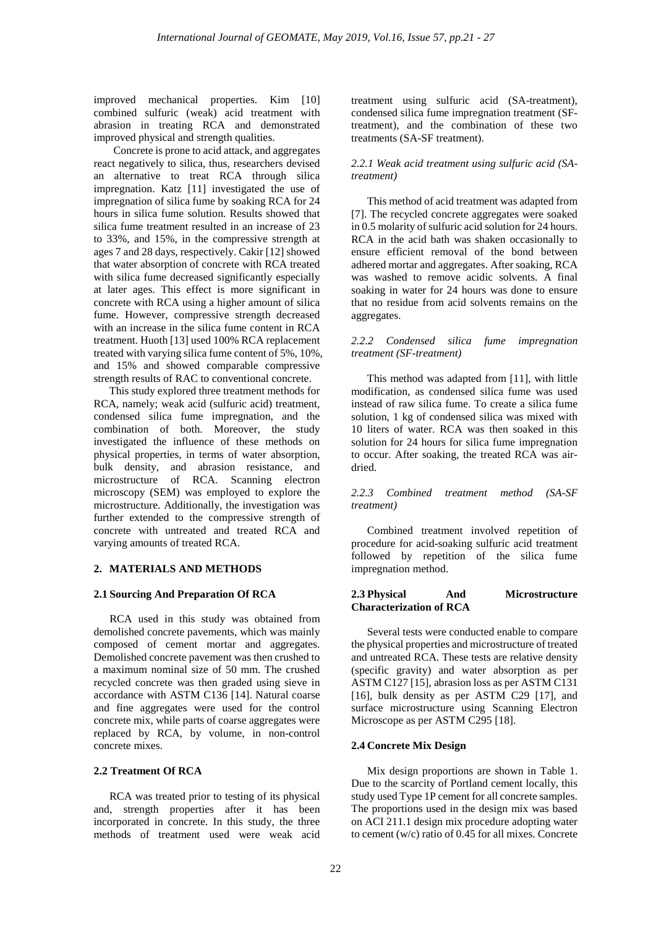improved mechanical properties. Kim [10] combined sulfuric (weak) acid treatment with abrasion in treating RCA and demonstrated improved physical and strength qualities.

Concrete is prone to acid attack, and aggregates react negatively to silica, thus, researchers devised an alternative to treat RCA through silica impregnation. Katz [11] investigated the use of impregnation of silica fume by soaking RCA for 24 hours in silica fume solution. Results showed that silica fume treatment resulted in an increase of 23 to 33%, and 15%, in the compressive strength at ages 7 and 28 days, respectively. Cakir [12] showed that water absorption of concrete with RCA treated with silica fume decreased significantly especially at later ages. This effect is more significant in concrete with RCA using a higher amount of silica fume. However, compressive strength decreased with an increase in the silica fume content in RCA treatment. Huoth [13] used 100% RCA replacement treated with varying silica fume content of 5%, 10%, and 15% and showed comparable compressive strength results of RAC to conventional concrete.

This study explored three treatment methods for RCA, namely; weak acid (sulfuric acid) treatment, condensed silica fume impregnation, and the combination of both. Moreover, the study investigated the influence of these methods on physical properties, in terms of water absorption, bulk density, and abrasion resistance, and microstructure of RCA. Scanning electron microscopy (SEM) was employed to explore the microstructure. Additionally, the investigation was further extended to the compressive strength of concrete with untreated and treated RCA and varying amounts of treated RCA.

## **2. MATERIALS AND METHODS**

## **2.1 Sourcing And Preparation Of RCA**

RCA used in this study was obtained from demolished concrete pavements, which was mainly composed of cement mortar and aggregates. Demolished concrete pavement was then crushed to a maximum nominal size of 50 mm. The crushed recycled concrete was then graded using sieve in accordance with ASTM C136 [14]. Natural coarse and fine aggregates were used for the control concrete mix, while parts of coarse aggregates were replaced by RCA, by volume, in non-control concrete mixes.

## **2.2 Treatment Of RCA**

RCA was treated prior to testing of its physical and, strength properties after it has been incorporated in concrete. In this study, the three methods of treatment used were weak acid

treatment using sulfuric acid (SA-treatment), condensed silica fume impregnation treatment (SFtreatment), and the combination of these two treatments (SA-SF treatment).

# *2.2.1 Weak acid treatment using sulfuric acid (SAtreatment)*

This method of acid treatment was adapted from [7]. The recycled concrete aggregates were soaked in 0.5 molarity of sulfuric acid solution for 24 hours. RCA in the acid bath was shaken occasionally to ensure efficient removal of the bond between adhered mortar and aggregates. After soaking, RCA was washed to remove acidic solvents. A final soaking in water for 24 hours was done to ensure that no residue from acid solvents remains on the aggregates.

# *2.2.2 Condensed silica fume impregnation treatment (SF-treatment)*

This method was adapted from [11], with little modification, as condensed silica fume was used instead of raw silica fume. To create a silica fume solution, 1 kg of condensed silica was mixed with 10 liters of water. RCA was then soaked in this solution for 24 hours for silica fume impregnation to occur. After soaking, the treated RCA was airdried.

*2.2.3 Combined treatment method (SA-SF treatment)*

Combined treatment involved repetition of procedure for acid-soaking sulfuric acid treatment followed by repetition of the silica fume impregnation method.

# **2.3 Physical And Microstructure Characterization of RCA**

Several tests were conducted enable to compare the physical properties and microstructure of treated and untreated RCA. These tests are relative density (specific gravity) and water absorption as per ASTM C127 [15], abrasion loss as per ASTM C131 [16], bulk density as per ASTM C29 [17], and surface microstructure using Scanning Electron Microscope as per ASTM C295 [18].

## **2.4 Concrete Mix Design**

Mix design proportions are shown in Table 1. Due to the scarcity of Portland cement locally, this study used Type 1P cement for all concrete samples. The proportions used in the design mix was based on ACI 211.1 design mix procedure adopting water to cement (w/c) ratio of 0.45 for all mixes. Concrete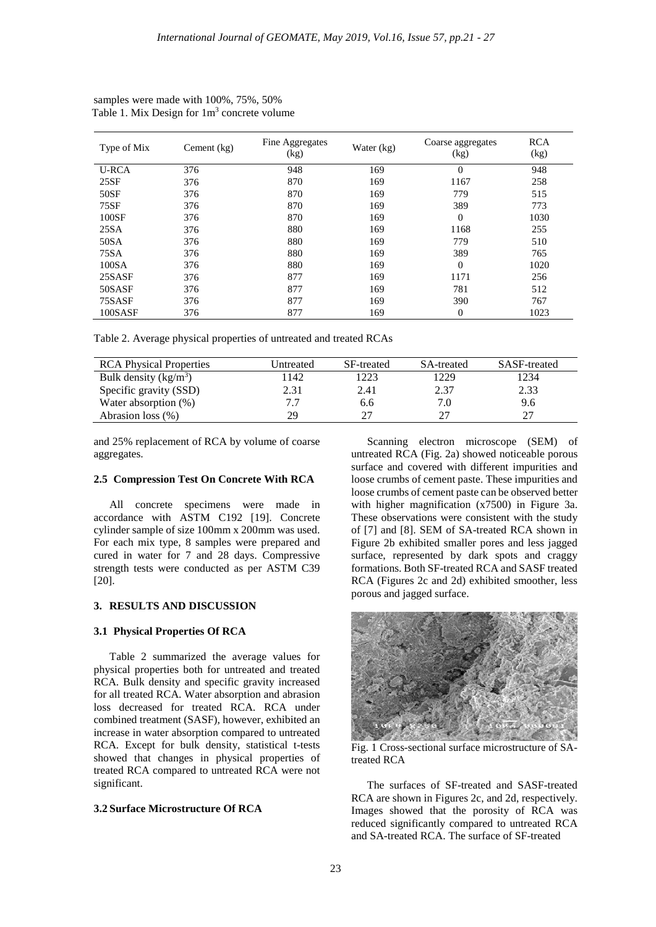| Type of Mix  | Cement $(kg)$ | Fine Aggregates<br>(kg) | Water (kg) | Coarse aggregates<br>(kg) | <b>RCA</b><br>(kg) |
|--------------|---------------|-------------------------|------------|---------------------------|--------------------|
| <b>U-RCA</b> | 376           | 948                     | 169        | $\Omega$                  | 948                |
| 25SF         | 376           | 870                     | 169        | 1167                      | 258                |
| 50SF         | 376           | 870                     | 169        | 779                       | 515                |
| 75SF         | 376           | 870                     | 169        | 389                       | 773                |
| 100SF        | 376           | 870                     | 169        | $\Omega$                  | 1030               |
| 25SA         | 376           | 880                     | 169        | 1168                      | 255                |
| 50SA         | 376           | 880                     | 169        | 779                       | 510                |
| 75SA         | 376           | 880                     | 169        | 389                       | 765                |
| 100SA        | 376           | 880                     | 169        | $\Omega$                  | 1020               |
| 25SASF       | 376           | 877                     | 169        | 1171                      | 256                |
| 50SASF       | 376           | 877                     | 169        | 781                       | 512                |
| 75SASF       | 376           | 877                     | 169        | 390                       | 767                |
| 100SASF      | 376           | 877                     | 169        | 0                         | 1023               |

samples were made with 100%, 75%, 50% Table 1. Mix Design for  $1m<sup>3</sup>$  concrete volume

Table 2. Average physical properties of untreated and treated RCAs

| <b>RCA</b> Physical Properties | <b>Jntreated</b> | SF-treated | SA-treated | SASF-treated |
|--------------------------------|------------------|------------|------------|--------------|
| Bulk density $(kg/m^3)$        | 1142             | 1223       | 1229       | 1234         |
| Specific gravity (SSD)         | 2.31             | 2.41       | 2.37       | 2.33         |
| Water absorption $(\%)$        |                  | 6.6        | 7.0        | 9.6          |
| Abrasion loss (%)              | 29               | フフ         | つつ         |              |

and 25% replacement of RCA by volume of coarse aggregates.

# **2.5 Compression Test On Concrete With RCA**

All concrete specimens were made in accordance with ASTM C192 [19]. Concrete cylinder sample of size 100mm x 200mm was used. For each mix type, 8 samples were prepared and cured in water for 7 and 28 days. Compressive strength tests were conducted as per ASTM C39 [20].

#### **3. RESULTS AND DISCUSSION**

# **3.1 Physical Properties Of RCA**

Table 2 summarized the average values for physical properties both for untreated and treated RCA. Bulk density and specific gravity increased for all treated RCA. Water absorption and abrasion loss decreased for treated RCA. RCA under combined treatment (SASF), however, exhibited an increase in water absorption compared to untreated RCA. Except for bulk density, statistical t-tests showed that changes in physical properties of treated RCA compared to untreated RCA were not significant.

#### **3.2 Surface Microstructure Of RCA**

Scanning electron microscope (SEM) of untreated RCA (Fig. 2a) showed noticeable porous surface and covered with different impurities and loose crumbs of cement paste. These impurities and loose crumbs of cement paste can be observed better with higher magnification (x7500) in Figure 3a. These observations were consistent with the study of [7] and [8]. SEM of SA-treated RCA shown in Figure 2b exhibited smaller pores and less jagged surface, represented by dark spots and craggy formations. Both SF-treated RCA and SASF treated RCA (Figures 2c and 2d) exhibited smoother, less porous and jagged surface.



Fig. 1 Cross-sectional surface microstructure of SAtreated RCA

The surfaces of SF-treated and SASF-treated RCA are shown in Figures 2c, and 2d, respectively. Images showed that the porosity of RCA was reduced significantly compared to untreated RCA and SA-treated RCA. The surface of SF-treated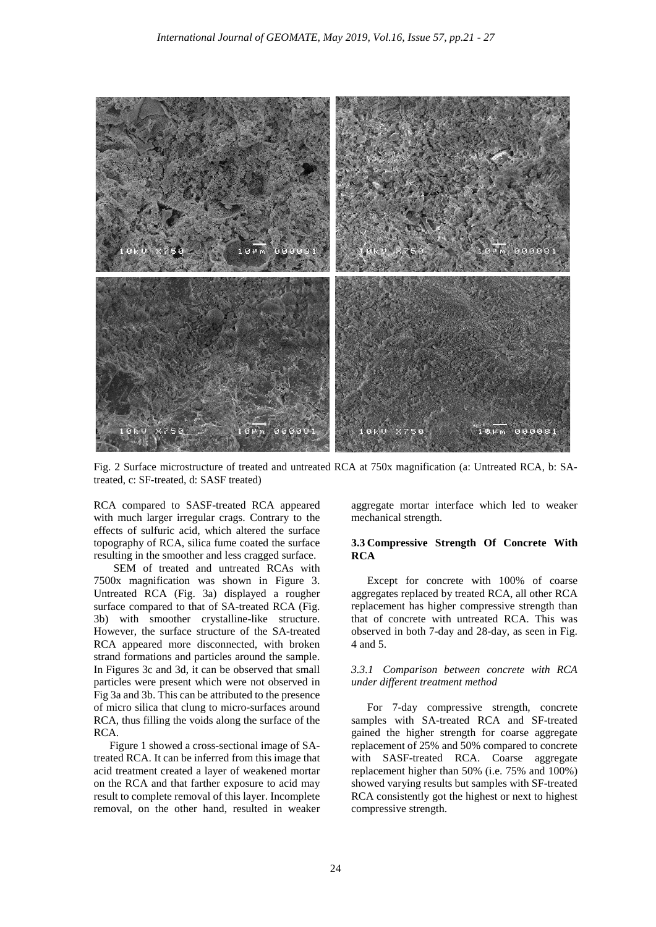

Fig. 2 Surface microstructure of treated and untreated RCA at 750x magnification (a: Untreated RCA, b: SAtreated, c: SF-treated, d: SASF treated)

RCA compared to SASF-treated RCA appeared with much larger irregular crags. Contrary to the effects of sulfuric acid, which altered the surface topography of RCA, silica fume coated the surface resulting in the smoother and less cragged surface.

SEM of treated and untreated RCAs with 7500x magnification was shown in Figure 3. Untreated RCA (Fig. 3a) displayed a rougher surface compared to that of SA-treated RCA (Fig. 3b) with smoother crystalline-like structure. However, the surface structure of the SA-treated RCA appeared more disconnected, with broken strand formations and particles around the sample. In Figures 3c and 3d, it can be observed that small particles were present which were not observed in Fig 3a and 3b. This can be attributed to the presence of micro silica that clung to micro-surfaces around RCA, thus filling the voids along the surface of the RCA.

Figure 1 showed a cross-sectional image of SAtreated RCA. It can be inferred from this image that acid treatment created a layer of weakened mortar on the RCA and that farther exposure to acid may result to complete removal of this layer. Incomplete removal, on the other hand, resulted in weaker

aggregate mortar interface which led to weaker mechanical strength.

## **3.3 Compressive Strength Of Concrete With RCA**

Except for concrete with 100% of coarse aggregates replaced by treated RCA, all other RCA replacement has higher compressive strength than that of concrete with untreated RCA. This was observed in both 7-day and 28-day, as seen in Fig. 4 and 5.

# *3.3.1 Comparison between concrete with RCA under different treatment method*

For 7-day compressive strength, concrete samples with SA-treated RCA and SF-treated gained the higher strength for coarse aggregate replacement of 25% and 50% compared to concrete with SASF-treated RCA. Coarse aggregate replacement higher than 50% (i.e. 75% and 100%) showed varying results but samples with SF-treated RCA consistently got the highest or next to highest compressive strength.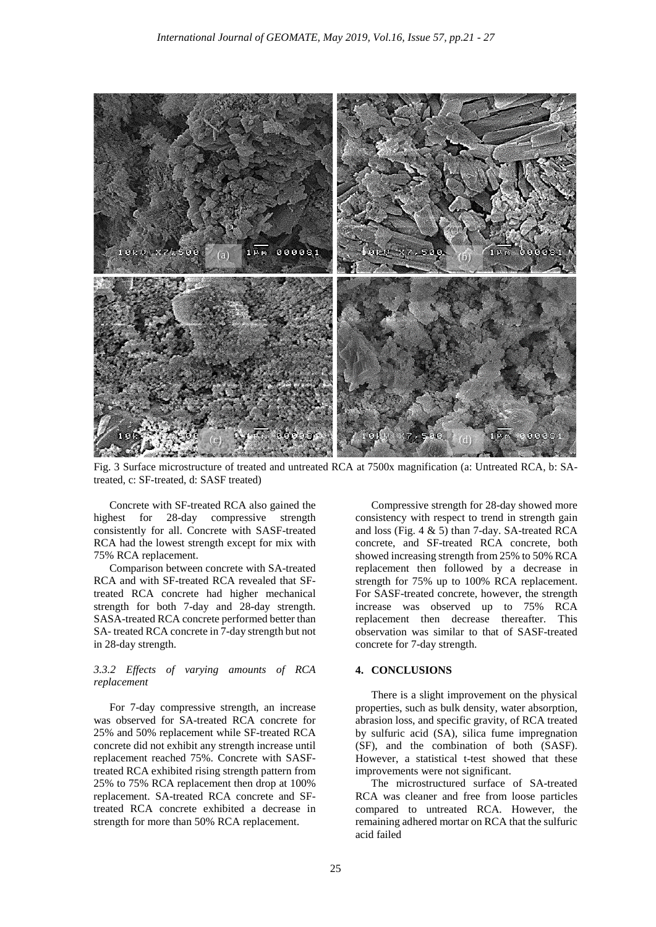

Fig. 3 Surface microstructure of treated and untreated RCA at 7500x magnification (a: Untreated RCA, b: SAtreated, c: SF-treated, d: SASF treated)

Concrete with SF-treated RCA also gained the highest for 28-day compressive strength consistently for all. Concrete with SASF-treated RCA had the lowest strength except for mix with 75% RCA replacement.

Comparison between concrete with SA-treated RCA and with SF-treated RCA revealed that SFtreated RCA concrete had higher mechanical strength for both 7-day and 28-day strength. SASA-treated RCA concrete performed better than SA- treated RCA concrete in 7-day strength but not in 28-day strength.

## *3.3.2 Effects of varying amounts of RCA replacement*

For 7-day compressive strength, an increase was observed for SA-treated RCA concrete for 25% and 50% replacement while SF-treated RCA concrete did not exhibit any strength increase until replacement reached 75%. Concrete with SASFtreated RCA exhibited rising strength pattern from 25% to 75% RCA replacement then drop at 100% replacement. SA-treated RCA concrete and SFtreated RCA concrete exhibited a decrease in strength for more than 50% RCA replacement.

Compressive strength for 28-day showed more consistency with respect to trend in strength gain and loss (Fig. 4 & 5) than 7-day. SA-treated RCA concrete, and SF-treated RCA concrete, both showed increasing strength from 25% to 50% RCA replacement then followed by a decrease in strength for 75% up to 100% RCA replacement. For SASF-treated concrete, however, the strength increase was observed up to 75% RCA replacement then decrease thereafter. This observation was similar to that of SASF-treated concrete for 7-day strength.

## **4. CONCLUSIONS**

There is a slight improvement on the physical properties, such as bulk density, water absorption, abrasion loss, and specific gravity, of RCA treated by sulfuric acid (SA), silica fume impregnation (SF), and the combination of both (SASF). However, a statistical t-test showed that these improvements were not significant.

The microstructured surface of SA-treated RCA was cleaner and free from loose particles compared to untreated RCA. However, the remaining adhered mortar on RCA that the sulfuric acid failed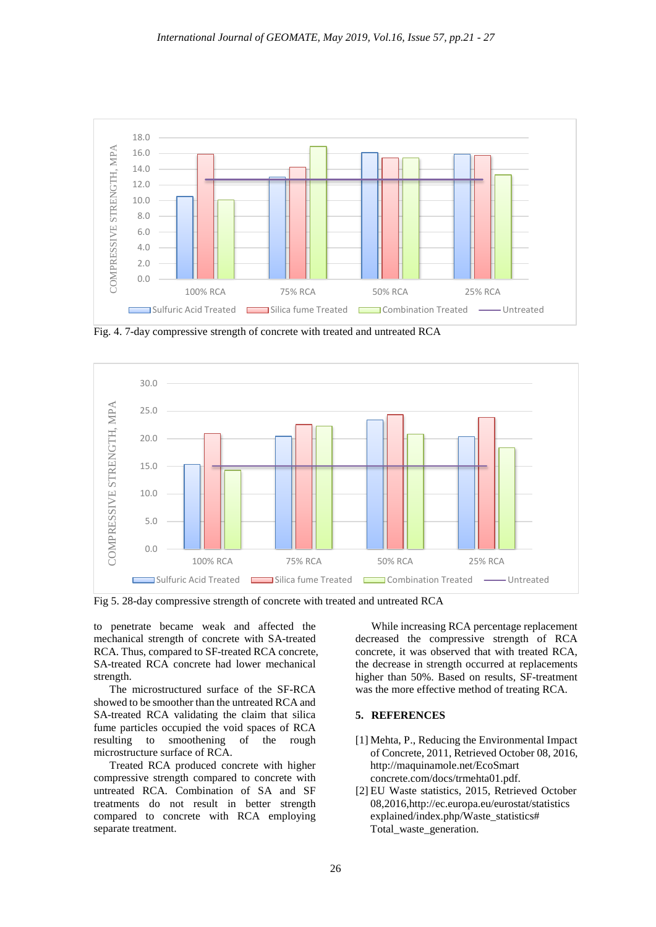

Fig. 4. 7-day compressive strength of concrete with treated and untreated RCA



Fig 5. 28-day compressive strength of concrete with treated and untreated RCA

to penetrate became weak and affected the mechanical strength of concrete with SA-treated RCA. Thus, compared to SF-treated RCA concrete, SA-treated RCA concrete had lower mechanical strength.

The microstructured surface of the SF-RCA showed to be smoother than the untreated RCA and SA-treated RCA validating the claim that silica fume particles occupied the void spaces of RCA resulting to smoothening of the rough microstructure surface of RCA.

Treated RCA produced concrete with higher compressive strength compared to concrete with untreated RCA. Combination of SA and SF treatments do not result in better strength compared to concrete with RCA employing separate treatment.

While increasing RCA percentage replacement decreased the compressive strength of RCA concrete, it was observed that with treated RCA, the decrease in strength occurred at replacements higher than 50%. Based on results, SF-treatment was the more effective method of treating RCA.

# **5. REFERENCES**

- [1] Mehta, P., Reducing the Environmental Impact of Concrete, 2011, Retrieved October 08, 2016, http://maquinamole.net/EcoSmart concrete.com/docs/trmehta01.pdf.
- [2] EU Waste statistics, 2015, Retrieved October 08,2016,http://ec.europa.eu/eurostat/statistics explained/index.php/Waste\_statistics# Total\_waste\_generation.